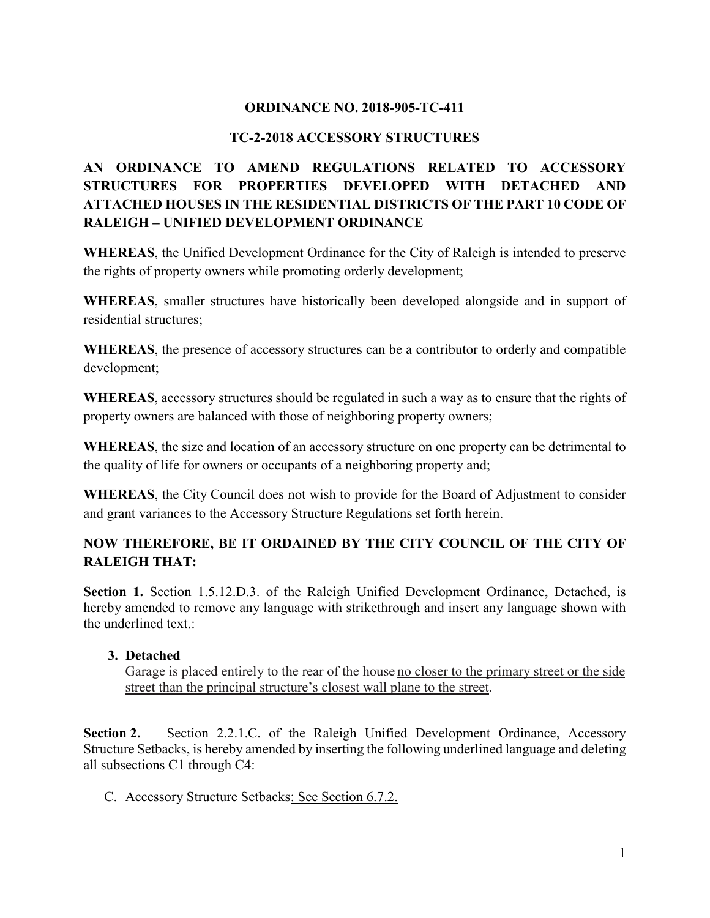### **ORDINANCE NO. 2018-905-TC-411**

### **TC-2-2018 ACCESSORY STRUCTURES**

# **AN ORDINANCE TO AMEND REGULATIONS RELATED TO ACCESSORY STRUCTURES FOR PROPERTIES DEVELOPED WITH DETACHED AND ATTACHED HOUSES IN THE RESIDENTIAL DISTRICTS OF THE PART 10 CODE OF RALEIGH – UNIFIED DEVELOPMENT ORDINANCE**

**WHEREAS**, the Unified Development Ordinance for the City of Raleigh is intended to preserve the rights of property owners while promoting orderly development;

**WHEREAS**, smaller structures have historically been developed alongside and in support of residential structures;

**WHEREAS**, the presence of accessory structures can be a contributor to orderly and compatible development;

**WHEREAS**, accessory structures should be regulated in such a way as to ensure that the rights of property owners are balanced with those of neighboring property owners;

**WHEREAS**, the size and location of an accessory structure on one property can be detrimental to the quality of life for owners or occupants of a neighboring property and;

**WHEREAS**, the City Council does not wish to provide for the Board of Adjustment to consider and grant variances to the Accessory Structure Regulations set forth herein.

## **NOW THEREFORE, BE IT ORDAINED BY THE CITY COUNCIL OF THE CITY OF RALEIGH THAT:**

Section 1. Section 1.5.12.D.3. of the Raleigh Unified Development Ordinance, Detached, is hereby amended to remove any language with strikethrough and insert any language shown with the underlined text.:

#### **3. Detached**

Garage is placed entirely to the rear of the house no closer to the primary street or the side street than the principal structure's closest wall plane to the street.

**Section 2.** Section 2.2.1.C. of the Raleigh Unified Development Ordinance, Accessory Structure Setbacks, is hereby amended by inserting the following underlined language and deleting all subsections C1 through C4:

C. Accessory Structure Setbacks: See Section 6.7.2.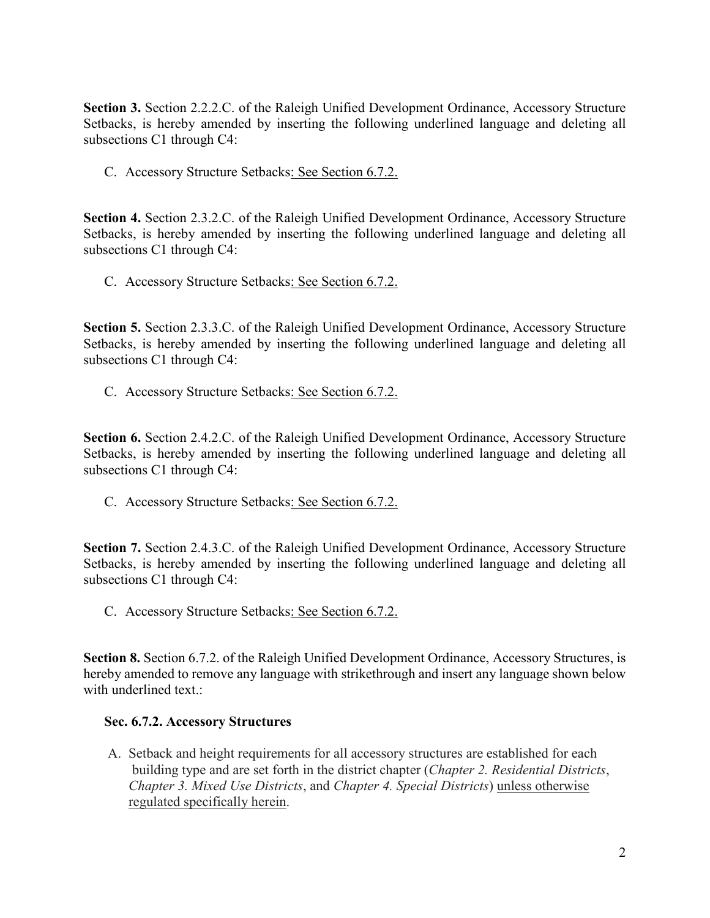**Section 3.** Section 2.2.2.C. of the Raleigh Unified Development Ordinance, Accessory Structure Setbacks, is hereby amended by inserting the following underlined language and deleting all subsections C1 through C4:

C. Accessory Structure Setbacks: See Section 6.7.2.

**Section 4.** Section 2.3.2.C. of the Raleigh Unified Development Ordinance, Accessory Structure Setbacks, is hereby amended by inserting the following underlined language and deleting all subsections C1 through C4:

C. Accessory Structure Setbacks: See Section 6.7.2.

**Section 5.** Section 2.3.3.C. of the Raleigh Unified Development Ordinance, Accessory Structure Setbacks, is hereby amended by inserting the following underlined language and deleting all subsections C1 through C4:

C. Accessory Structure Setbacks: See Section 6.7.2.

**Section 6.** Section 2.4.2.C. of the Raleigh Unified Development Ordinance, Accessory Structure Setbacks, is hereby amended by inserting the following underlined language and deleting all subsections C1 through C4:

C. Accessory Structure Setbacks: See Section 6.7.2.

**Section 7.** Section 2.4.3.C. of the Raleigh Unified Development Ordinance, Accessory Structure Setbacks, is hereby amended by inserting the following underlined language and deleting all subsections C1 through C4:

C. Accessory Structure Setbacks: See Section 6.7.2.

**Section 8.** Section 6.7.2. of the Raleigh Unified Development Ordinance, Accessory Structures, is hereby amended to remove any language with strikethrough and insert any language shown below with underlined text.:

#### **Sec. 6.7.2. Accessory Structures**

A. Setback and height requirements for all accessory structures are established for each building type and are set forth in the district chapter (*Chapter 2. Residential Districts*, *Chapter 3. Mixed Use Districts*, and *Chapter 4. Special Districts*) unless otherwise regulated specifically herein.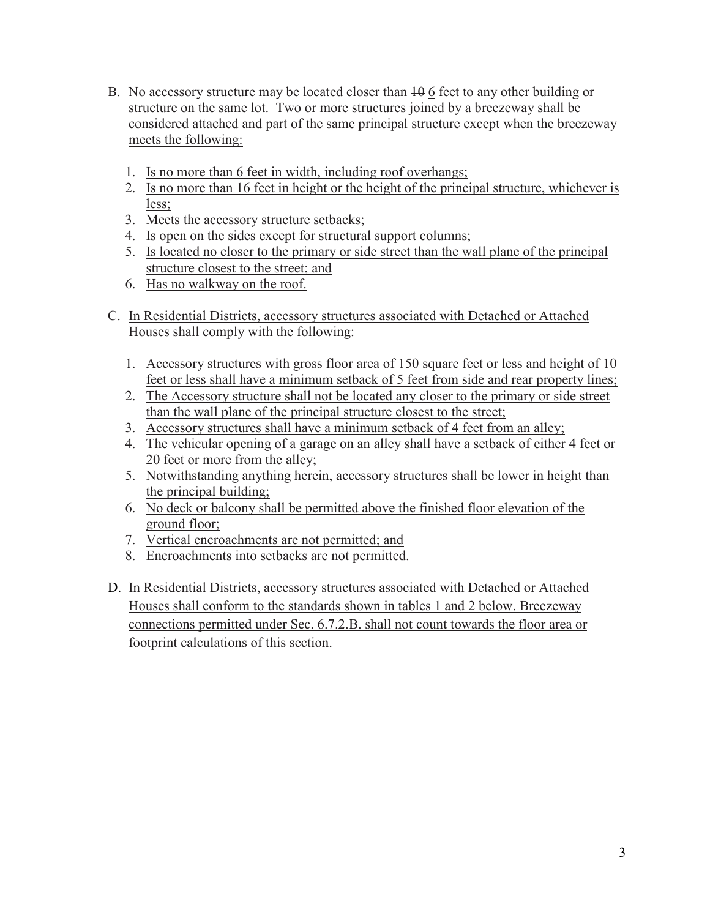- B. No accessory structure may be located closer than  $\frac{10}{10}$  6 feet to any other building or structure on the same lot. Two or more structures joined by a breezeway shall be considered attached and part of the same principal structure except when the breezeway meets the following:
	- 1. Is no more than 6 feet in width, including roof overhangs;
	- 2. Is no more than 16 feet in height or the height of the principal structure, whichever is less;
	- 3. Meets the accessory structure setbacks;
	- 4. Is open on the sides except for structural support columns;
	- 5. Is located no closer to the primary or side street than the wall plane of the principal structure closest to the street; and
	- 6. Has no walkway on the roof.
- C. In Residential Districts, accessory structures associated with Detached or Attached Houses shall comply with the following:
	- 1. Accessory structures with gross floor area of 150 square feet or less and height of 10 feet or less shall have a minimum setback of 5 feet from side and rear property lines;
	- 2. The Accessory structure shall not be located any closer to the primary or side street than the wall plane of the principal structure closest to the street;
	- 3. Accessory structures shall have a minimum setback of 4 feet from an alley;
	- 4. The vehicular opening of a garage on an alley shall have a setback of either 4 feet or 20 feet or more from the alley;
	- 5. Notwithstanding anything herein, accessory structures shall be lower in height than the principal building;
	- 6. No deck or balcony shall be permitted above the finished floor elevation of the ground floor;
	- 7. Vertical encroachments are not permitted; and
	- 8. Encroachments into setbacks are not permitted.
- D. In Residential Districts, accessory structures associated with Detached or Attached Houses shall conform to the standards shown in tables 1 and 2 below. Breezeway connections permitted under Sec. 6.7.2.B. shall not count towards the floor area or footprint calculations of this section.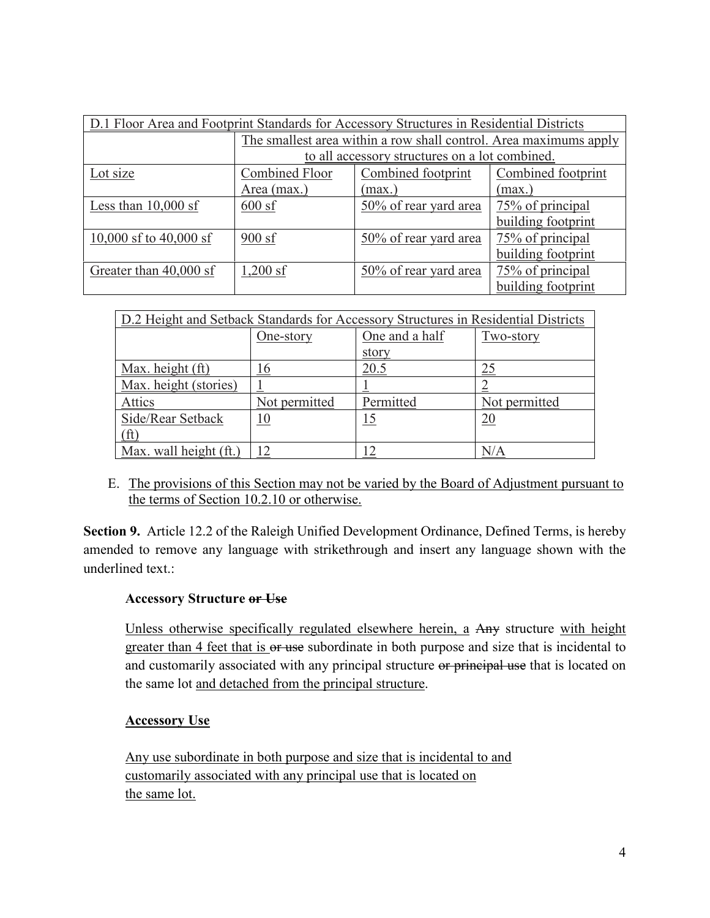| D.1 Floor Area and Footprint Standards for Accessory Structures in Residential Districts |                                                                   |                       |                    |
|------------------------------------------------------------------------------------------|-------------------------------------------------------------------|-----------------------|--------------------|
|                                                                                          | The smallest area within a row shall control. Area maximums apply |                       |                    |
|                                                                                          | to all accessory structures on a lot combined.                    |                       |                    |
| Lot size                                                                                 | Combined Floor                                                    | Combined footprint    | Combined footprint |
|                                                                                          | Area (max.)                                                       | (max.)                | (max.)             |
| Less than $10,000$ sf                                                                    | $600$ sf                                                          | 50% of rear yard area | 75% of principal   |
|                                                                                          |                                                                   |                       | building footprint |
| 10,000 sf to $40,000$ sf                                                                 | 900sf                                                             | 50% of rear yard area | 75% of principal   |
|                                                                                          |                                                                   |                       | building footprint |
| Greater than 40,000 sf                                                                   | $1,200$ sf                                                        | 50% of rear yard area | 75% of principal   |
|                                                                                          |                                                                   |                       | building footprint |

| D.2 Height and Setback Standards for Accessory Structures in Residential Districts |               |                |               |
|------------------------------------------------------------------------------------|---------------|----------------|---------------|
|                                                                                    | One-story     | One and a half | Two-story     |
|                                                                                    |               | story          |               |
| Max. height (ft)                                                                   | 16            | 20.5           | 25            |
| Max. height (stories)                                                              |               |                |               |
| <b>Attics</b>                                                                      | Not permitted | Permitted      | Not permitted |
| Side/Rear Setback                                                                  | <u>10</u>     | <u> 15</u>     | <u>20</u>     |
| (ft)                                                                               |               |                |               |
| Max. wall height (ft.)                                                             |               |                | N/A           |

E. The provisions of this Section may not be varied by the Board of Adjustment pursuant to the terms of Section 10.2.10 or otherwise.

**Section 9.** Article 12.2 of the Raleigh Unified Development Ordinance, Defined Terms, is hereby amended to remove any language with strikethrough and insert any language shown with the underlined text.:

#### **Accessory Structure or Use**

Unless otherwise specifically regulated elsewhere herein, a Any structure with height greater than 4 feet that is or use subordinate in both purpose and size that is incidental to and customarily associated with any principal structure or principal use that is located on the same lot and detached from the principal structure.

## **Accessory Use**

Any use subordinate in both purpose and size that is incidental to and customarily associated with any principal use that is located on the same lot.